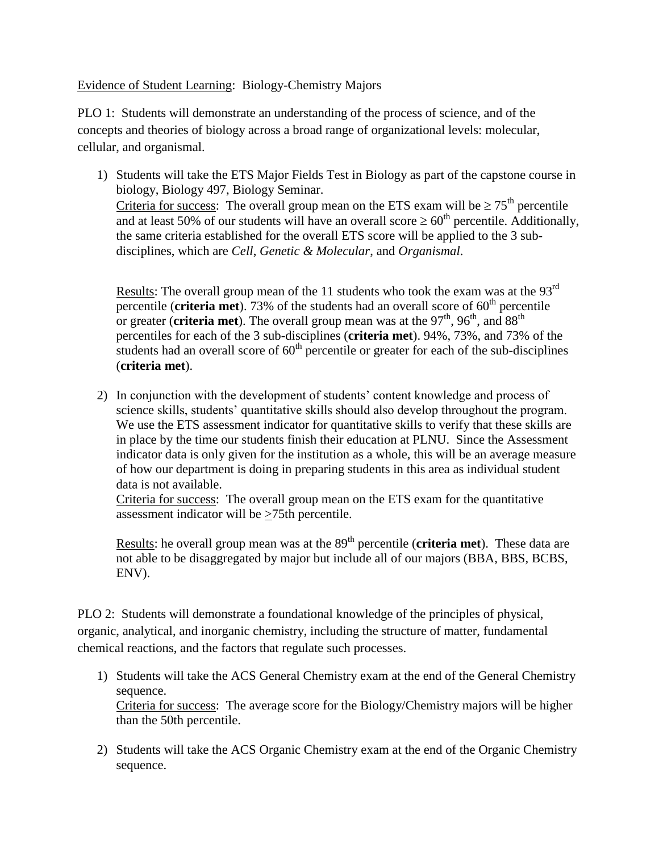Evidence of Student Learning: Biology-Chemistry Majors

PLO 1: Students will demonstrate an understanding of the process of science, and of the concepts and theories of biology across a broad range of organizational levels: molecular, cellular, and organismal.

1) Students will take the ETS Major Fields Test in Biology as part of the capstone course in biology, Biology 497, Biology Seminar. Criteria for success: The overall group mean on the ETS exam will be  $\geq 75^{\text{th}}$  percentile and at least 50% of our students will have an overall score  $\geq 60^{th}$  percentile. Additionally, the same criteria established for the overall ETS score will be applied to the 3 subdisciplines, which are *Cell*, *Genetic & Molecular*, and *Organismal*.

Results: The overall group mean of the 11 students who took the exam was at the  $93<sup>rd</sup>$ percentile (**criteria met**). 73% of the students had an overall score of 60<sup>th</sup> percentile or greater (**criteria met**). The overall group mean was at the  $97<sup>th</sup>$ ,  $96<sup>th</sup>$ , and  $88<sup>th</sup>$ percentiles for each of the 3 sub-disciplines (**criteria met**). 94%, 73%, and 73% of the students had an overall score of  $60<sup>th</sup>$  percentile or greater for each of the sub-disciplines (**criteria met**).

2) In conjunction with the development of students' content knowledge and process of science skills, students' quantitative skills should also develop throughout the program. We use the ETS assessment indicator for quantitative skills to verify that these skills are in place by the time our students finish their education at PLNU. Since the Assessment indicator data is only given for the institution as a whole, this will be an average measure of how our department is doing in preparing students in this area as individual student data is not available.

Criteria for success: The overall group mean on the ETS exam for the quantitative assessment indicator will be >75th percentile.

Results: he overall group mean was at the 89<sup>th</sup> percentile (**criteria met**). These data are not able to be disaggregated by major but include all of our majors (BBA, BBS, BCBS, ENV).

PLO 2: Students will demonstrate a foundational knowledge of the principles of physical, organic, analytical, and inorganic chemistry, including the structure of matter, fundamental chemical reactions, and the factors that regulate such processes.

- 1) Students will take the ACS General Chemistry exam at the end of the General Chemistry sequence. Criteria for success: The average score for the Biology/Chemistry majors will be higher than the 50th percentile.
- 2) Students will take the ACS Organic Chemistry exam at the end of the Organic Chemistry sequence.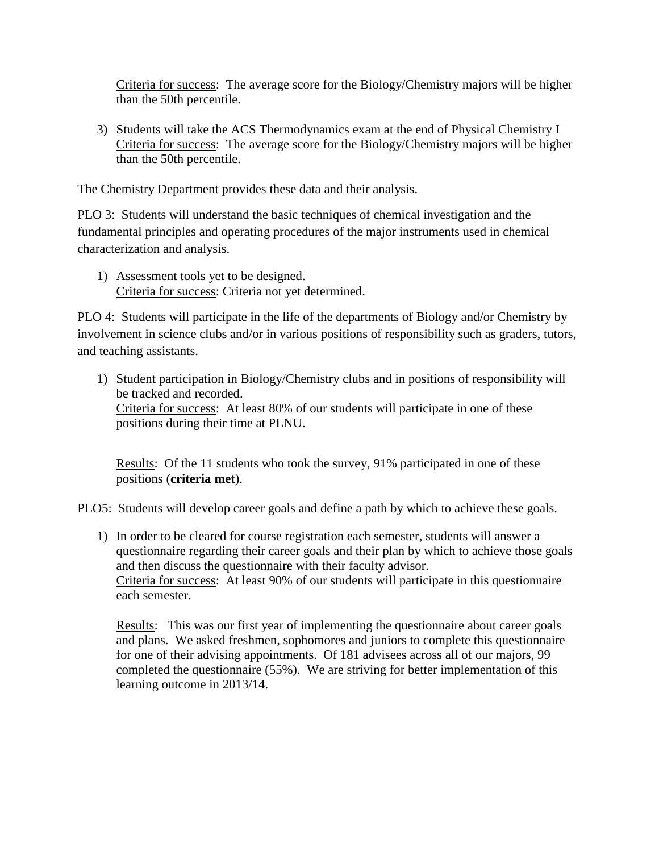Criteria for success: The average score for the Biology/Chemistry majors will be higher than the 50th percentile.

3) Students will take the ACS Thermodynamics exam at the end of Physical Chemistry I Criteria for success: The average score for the Biology/Chemistry majors will be higher than the 50th percentile.

The Chemistry Department provides these data and their analysis.

PLO 3: Students will understand the basic techniques of chemical investigation and the fundamental principles and operating procedures of the major instruments used in chemical characterization and analysis.

1) Assessment tools yet to be designed. Criteria for success: Criteria not yet determined.

PLO 4: Students will participate in the life of the departments of Biology and/or Chemistry by involvement in science clubs and/or in various positions of responsibility such as graders, tutors, and teaching assistants.

1) Student participation in Biology/Chemistry clubs and in positions of responsibility will be tracked and recorded. Criteria for success: At least 80% of our students will participate in one of these positions during their time at PLNU.

Results: Of the 11 students who took the survey, 91% participated in one of these positions (**criteria met**).

PLO5: Students will develop career goals and define a path by which to achieve these goals.

1) In order to be cleared for course registration each semester, students will answer a questionnaire regarding their career goals and their plan by which to achieve those goals and then discuss the questionnaire with their faculty advisor. Criteria for success: At least 90% of our students will participate in this questionnaire each semester.

Results: This was our first year of implementing the questionnaire about career goals and plans. We asked freshmen, sophomores and juniors to complete this questionnaire for one of their advising appointments. Of 181 advisees across all of our majors, 99 completed the questionnaire (55%). We are striving for better implementation of this learning outcome in 2013/14.